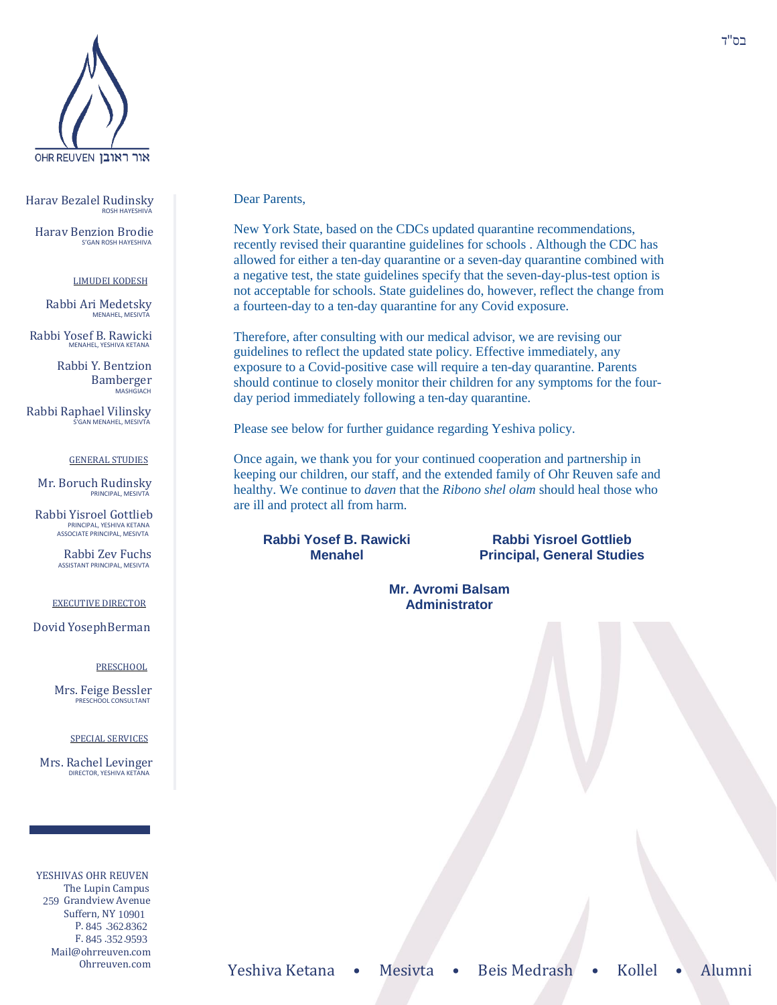

Harav Bezalel Rudinsky ROSH HAYESHIV

Harav Benzion Brodie S'GAN ROSH HAYESHIVA

#### LIMUDEI KODESH

Rabbi Ari Medetsky MENAHEL, MESIVTA

Rabbi Yosef B. Rawicki MENAHEL, YESHIVA KETANA

> Rabbi Y. Bentzion Bamberger **MASHGIACH**

Rabbi Raphael Vilinsky .<br>'GAN MENAHEL, MESIVTA

### GENERAL STUDIES

Mr. Boruch Rudinsky PRINCIPAL, MESIVTA

Rabbi Yisroel Gottlieb PRINCIPAL, YESHIVA KETANA ASSOCIATE PRINCIPAL, MESIVTA

> Rabbi Zev Fuchs ASSISTANT PRINCIPAL, MESIVTA

#### EXECUTIVE DIRECTOR

Dovid YosephBerman

### PRESCHOOL

Mrs. Feige Bessler PRESCHOOL CONSULTANT

#### SPECIAL SERVICES

Mrs. Rachel Levinger DIRECTOR, YESHIVA KETANA

YESHIVAS OHR REUVEN The Lupin Campus 259 Grandview Avenue Suffern, NY 10901 P. 845 .362.8362 F. 845 .352.9593 Mail@ohrreuven.com

### Dear Parents,

New York State, based on the CDCs updated quarantine recommendations, recently revised their quarantine guidelines for schools . Although the CDC has allowed for either a ten-day quarantine or a seven-day quarantine combined with a negative test, the state guidelines specify that the seven-day-plus-test option is not acceptable for schools. State guidelines do, however, reflect the change from a fourteen-day to a ten-day quarantine for any Covid exposure.

Therefore, after consulting with our medical advisor, we are revising our guidelines to reflect the updated state policy. Effective immediately, any exposure to a Covid-positive case will require a ten-day quarantine. Parents should continue to closely monitor their children for any symptoms for the fourday period immediately following a ten-day quarantine.

Please see below for further guidance regarding Yeshiva policy.

Once again, we thank you for your continued cooperation and partnership in keeping our children, our staff, and the extended family of Ohr Reuven safe and healthy. We continue to *daven* that the *Ribono shel olam* should heal those who are ill and protect all from harm.

**Rabbi Yosef B. Rawicki Menahel**

**Rabbi Yisroel Gottlieb Principal, General Studies**

**Mr. Avromi Balsam Administrator**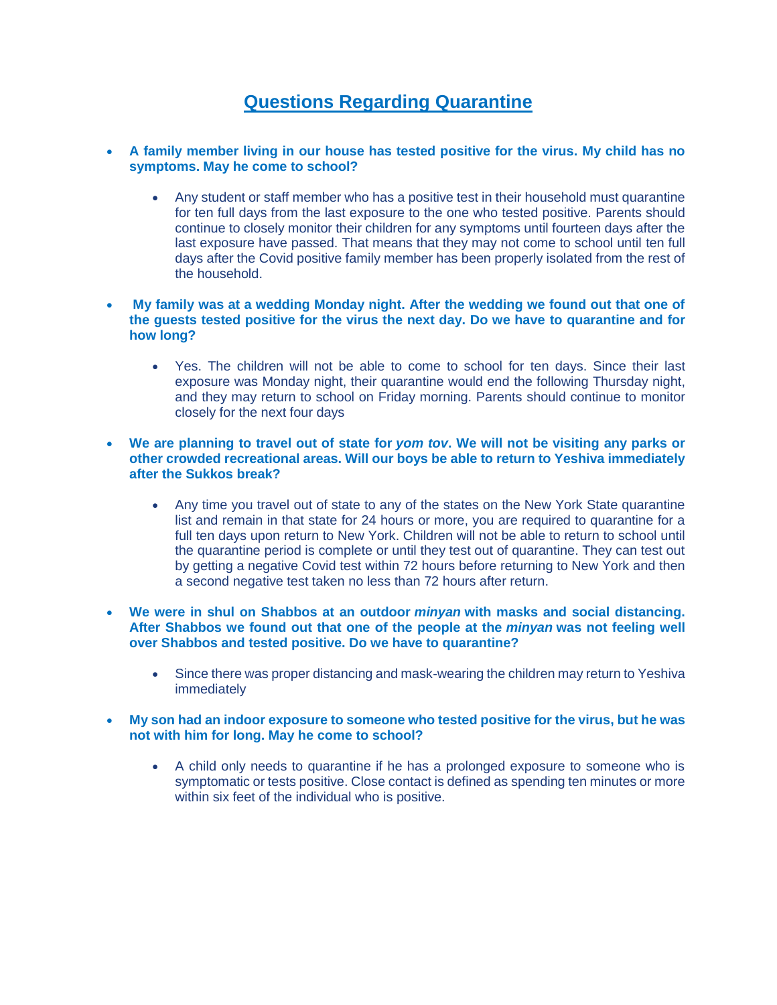# **Questions Regarding Quarantine**

## **A family member living in our house has tested positive for the virus. My child has no symptoms. May he come to school?**

 Any student or staff member who has a positive test in their household must quarantine for ten full days from the last exposure to the one who tested positive. Parents should continue to closely monitor their children for any symptoms until fourteen days after the last exposure have passed. That means that they may not come to school until ten full days after the Covid positive family member has been properly isolated from the rest of the household.

### **My family was at a wedding Monday night. After the wedding we found out that one of the guests tested positive for the virus the next day. Do we have to quarantine and for how long?**

 Yes. The children will not be able to come to school for ten days. Since their last exposure was Monday night, their quarantine would end the following Thursday night, and they may return to school on Friday morning. Parents should continue to monitor closely for the next four days

## **We are planning to travel out of state for** *yom tov***. We will not be visiting any parks or other crowded recreational areas. Will our boys be able to return to Yeshiva immediately after the Sukkos break?**

- Any time you travel out of state to any of the states on the New York State quarantine list and remain in that state for 24 hours or more, you are required to quarantine for a full ten days upon return to New York. Children will not be able to return to school until the quarantine period is complete or until they test out of quarantine. They can test out by getting a negative Covid test within 72 hours before returning to New York and then a second negative test taken no less than 72 hours after return.
- **We were in shul on Shabbos at an outdoor** *minyan* **with masks and social distancing. After Shabbos we found out that one of the people at the** *minyan* **was not feeling well over Shabbos and tested positive. Do we have to quarantine?**
	- Since there was proper distancing and mask-wearing the children may return to Yeshiva immediately
- **My son had an indoor exposure to someone who tested positive for the virus, but he was not with him for long. May he come to school?**
	- A child only needs to quarantine if he has a prolonged exposure to someone who is symptomatic or tests positive. Close contact is defined as spending ten minutes or more within six feet of the individual who is positive.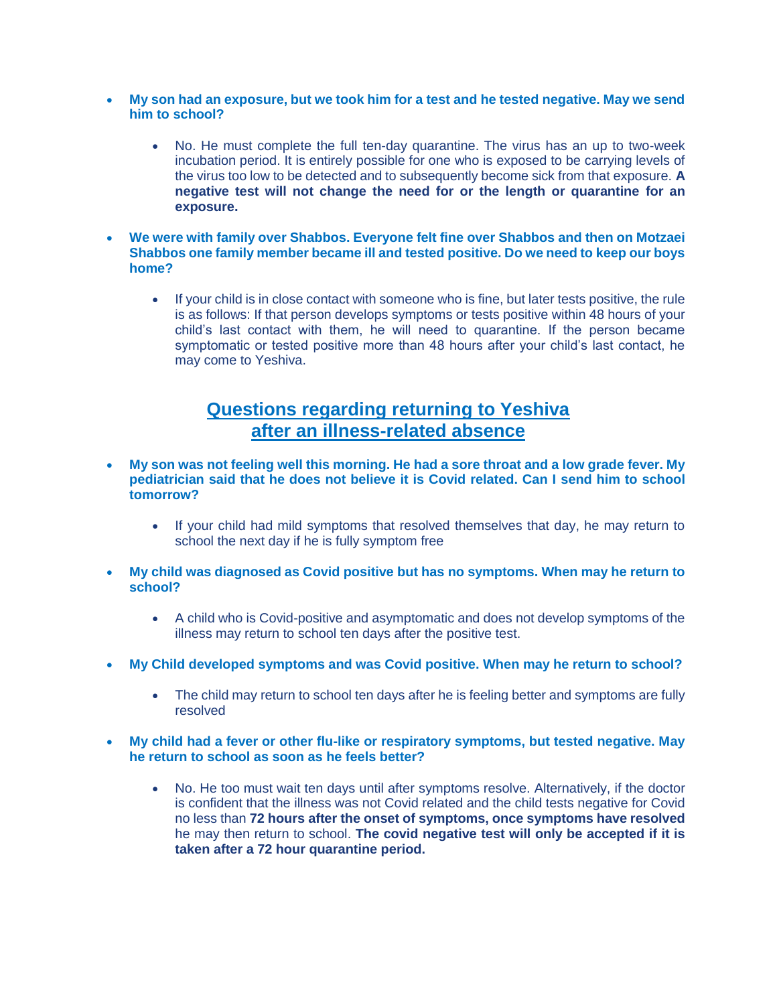- **My son had an exposure, but we took him for a test and he tested negative. May we send him to school?**
	- No. He must complete the full ten-day quarantine. The virus has an up to two-week incubation period. It is entirely possible for one who is exposed to be carrying levels of the virus too low to be detected and to subsequently become sick from that exposure. **A negative test will not change the need for or the length or quarantine for an exposure.**
- **We were with family over Shabbos. Everyone felt fine over Shabbos and then on Motzaei Shabbos one family member became ill and tested positive. Do we need to keep our boys home?**
	- If your child is in close contact with someone who is fine, but later tests positive, the rule is as follows: If that person develops symptoms or tests positive within 48 hours of your child's last contact with them, he will need to quarantine. If the person became symptomatic or tested positive more than 48 hours after your child's last contact, he may come to Yeshiva.

# **Questions regarding returning to Yeshiva after an illness-related absence**

- **My son was not feeling well this morning. He had a sore throat and a low grade fever. My pediatrician said that he does not believe it is Covid related. Can I send him to school tomorrow?**
	- If your child had mild symptoms that resolved themselves that day, he may return to school the next day if he is fully symptom free
- **My child was diagnosed as Covid positive but has no symptoms. When may he return to school?**
	- A child who is Covid-positive and asymptomatic and does not develop symptoms of the illness may return to school ten days after the positive test.
- **My Child developed symptoms and was Covid positive. When may he return to school?**
	- The child may return to school ten days after he is feeling better and symptoms are fully resolved
- **My child had a fever or other flu-like or respiratory symptoms, but tested negative. May he return to school as soon as he feels better?**
	- No. He too must wait ten days until after symptoms resolve. Alternatively, if the doctor is confident that the illness was not Covid related and the child tests negative for Covid no less than **72 hours after the onset of symptoms, once symptoms have resolved** he may then return to school. **The covid negative test will only be accepted if it is taken after a 72 hour quarantine period.**